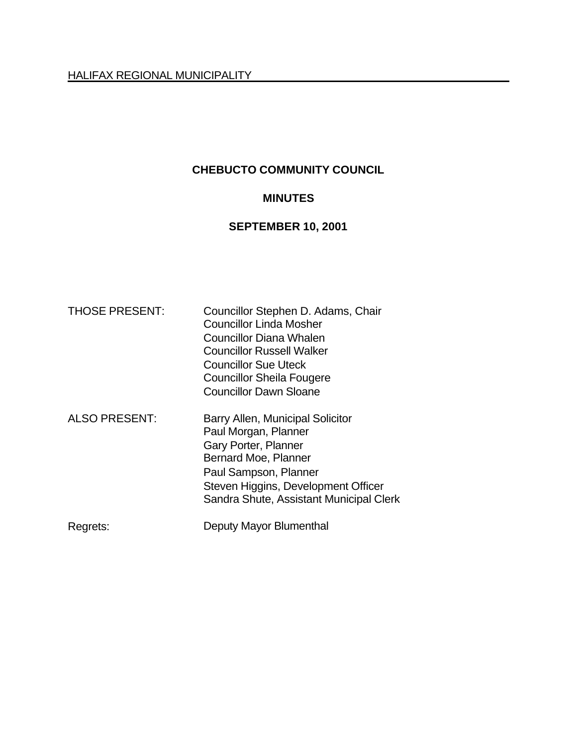# **CHEBUCTO COMMUNITY COUNCIL**

### **MINUTES**

# **SEPTEMBER 10, 2001**

| <b>THOSE PRESENT:</b> | Councillor Stephen D. Adams, Chair<br><b>Councillor Linda Mosher</b><br><b>Councillor Diana Whalen</b><br><b>Councillor Russell Walker</b><br><b>Councillor Sue Uteck</b><br><b>Councillor Sheila Fougere</b><br><b>Councillor Dawn Sloane</b> |
|-----------------------|------------------------------------------------------------------------------------------------------------------------------------------------------------------------------------------------------------------------------------------------|
| <b>ALSO PRESENT:</b>  | Barry Allen, Municipal Solicitor<br>Paul Morgan, Planner<br>Gary Porter, Planner<br>Bernard Moe, Planner<br>Paul Sampson, Planner<br>Steven Higgins, Development Officer<br>Sandra Shute, Assistant Municipal Clerk                            |
| Regrets:              | Deputy Mayor Blumenthal                                                                                                                                                                                                                        |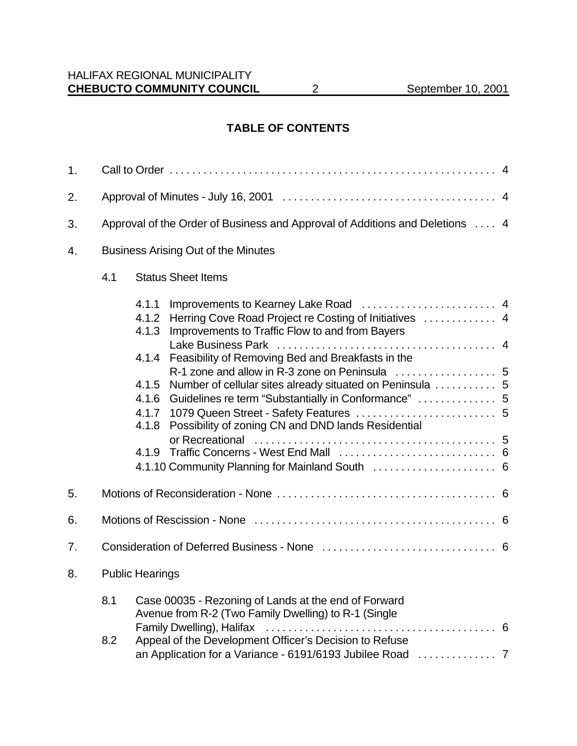### **TABLE OF CONTENTS**

| 1. |                                                                              |                                                                                                                                                                                                                                                                                                                                                                                                                            |     |  |  |
|----|------------------------------------------------------------------------------|----------------------------------------------------------------------------------------------------------------------------------------------------------------------------------------------------------------------------------------------------------------------------------------------------------------------------------------------------------------------------------------------------------------------------|-----|--|--|
| 2. |                                                                              |                                                                                                                                                                                                                                                                                                                                                                                                                            |     |  |  |
| 3. | Approval of the Order of Business and Approval of Additions and Deletions  4 |                                                                                                                                                                                                                                                                                                                                                                                                                            |     |  |  |
| 4. | <b>Business Arising Out of the Minutes</b>                                   |                                                                                                                                                                                                                                                                                                                                                                                                                            |     |  |  |
|    | 4.1                                                                          | <b>Status Sheet Items</b>                                                                                                                                                                                                                                                                                                                                                                                                  |     |  |  |
|    |                                                                              | 4.1.1<br>Herring Cove Road Project re Costing of Initiatives  4<br>4.1.2<br>4.1.3<br>Improvements to Traffic Flow to and from Bayers<br>Feasibility of Removing Bed and Breakfasts in the<br>4.1.4<br>Number of cellular sites already situated on Peninsula  5<br>4.1.5<br>Guidelines re term "Substantially in Conformance"  5<br>4.1.6<br>4.1.7<br>Possibility of zoning CN and DND lands Residential<br>4.1.8<br>4.1.9 |     |  |  |
| 5. |                                                                              |                                                                                                                                                                                                                                                                                                                                                                                                                            |     |  |  |
| 6. |                                                                              |                                                                                                                                                                                                                                                                                                                                                                                                                            |     |  |  |
| 7. |                                                                              |                                                                                                                                                                                                                                                                                                                                                                                                                            |     |  |  |
| 8. |                                                                              | <b>Public Hearings</b>                                                                                                                                                                                                                                                                                                                                                                                                     |     |  |  |
|    | 8.1<br>8.2                                                                   | Case 00035 - Rezoning of Lands at the end of Forward<br>Avenue from R-2 (Two Family Dwelling) to R-1 (Single<br>Appeal of the Development Officer's Decision to Refuse                                                                                                                                                                                                                                                     | - 6 |  |  |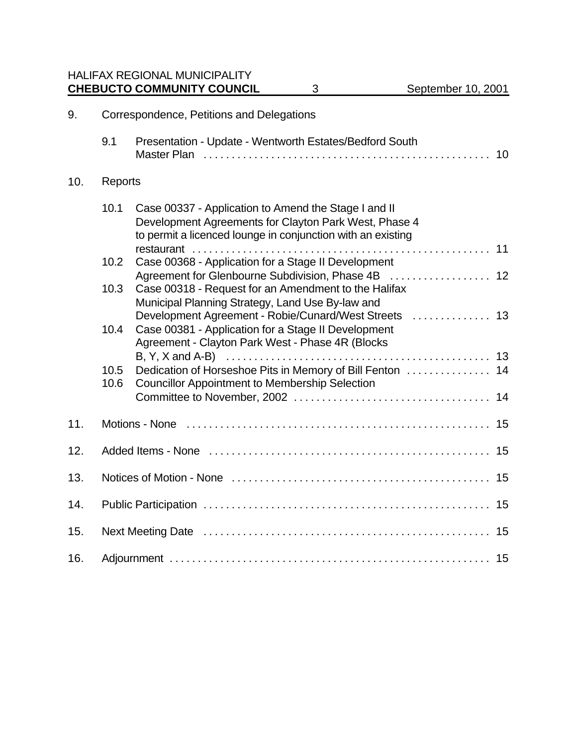HALIFAX REGIONAL MUNICIPALITY **CHEBUCTO COMMUNITY COUNCIL** 3 September 10, 2001

| 9.  | Correspondence, Petitions and Delegations |                                                                                                                                                                              |    |  |
|-----|-------------------------------------------|------------------------------------------------------------------------------------------------------------------------------------------------------------------------------|----|--|
|     | 9.1                                       | Presentation - Update - Wentworth Estates/Bedford South                                                                                                                      | 10 |  |
| 10. | Reports                                   |                                                                                                                                                                              |    |  |
|     | 10.1                                      | Case 00337 - Application to Amend the Stage I and II<br>Development Agreements for Clayton Park West, Phase 4<br>to permit a licenced lounge in conjunction with an existing |    |  |
|     | 10.2                                      | Case 00368 - Application for a Stage II Development                                                                                                                          |    |  |
|     | 10.3                                      | Agreement for Glenbourne Subdivision, Phase 4B  12<br>Case 00318 - Request for an Amendment to the Halifax                                                                   |    |  |
|     |                                           | Municipal Planning Strategy, Land Use By-law and<br>Development Agreement - Robie/Cunard/West Streets  13                                                                    |    |  |
|     | 10.4                                      | Case 00381 - Application for a Stage II Development<br>Agreement - Clayton Park West - Phase 4R (Blocks                                                                      |    |  |
|     | 10.5<br>10.6                              | Dedication of Horseshoe Pits in Memory of Bill Fenton  14<br><b>Councillor Appointment to Membership Selection</b>                                                           |    |  |
|     |                                           |                                                                                                                                                                              |    |  |
| 11. |                                           |                                                                                                                                                                              |    |  |
| 12. |                                           |                                                                                                                                                                              |    |  |
| 13. |                                           |                                                                                                                                                                              |    |  |
| 14. |                                           |                                                                                                                                                                              |    |  |
| 15. |                                           |                                                                                                                                                                              |    |  |
| 16. |                                           |                                                                                                                                                                              |    |  |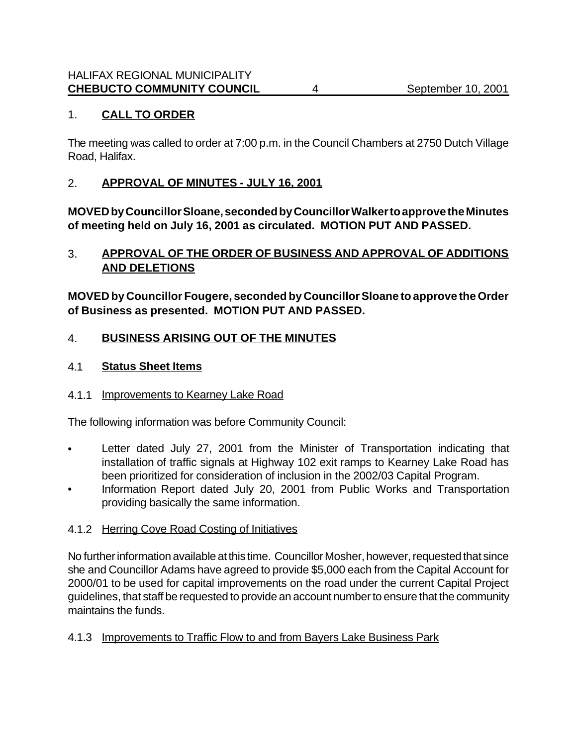### 1. **CALL TO ORDER**

The meeting was called to order at 7:00 p.m. in the Council Chambers at 2750 Dutch Village Road, Halifax.

#### 2. **APPROVAL OF MINUTES - JULY 16, 2001**

**MOVED by Councillor Sloane, seconded by Councillor Walker to approve the Minutes of meeting held on July 16, 2001 as circulated. MOTION PUT AND PASSED.**

### 3. **APPROVAL OF THE ORDER OF BUSINESS AND APPROVAL OF ADDITIONS AND DELETIONS**

**MOVED by Councillor Fougere, seconded by Councillor Sloane to approve the Order of Business as presented. MOTION PUT AND PASSED.**

#### 4. **BUSINESS ARISING OUT OF THE MINUTES**

#### 4.1 **Status Sheet Items**

#### 4.1.1 Improvements to Kearney Lake Road

The following information was before Community Council:

- Letter dated July 27, 2001 from the Minister of Transportation indicating that installation of traffic signals at Highway 102 exit ramps to Kearney Lake Road has been prioritized for consideration of inclusion in the 2002/03 Capital Program.
- Information Report dated July 20, 2001 from Public Works and Transportation providing basically the same information.

#### 4.1.2 Herring Cove Road Costing of Initiatives

No further information available at this time. Councillor Mosher, however, requested that since she and Councillor Adams have agreed to provide \$5,000 each from the Capital Account for 2000/01 to be used for capital improvements on the road under the current Capital Project guidelines, that staff be requested to provide an account number to ensure that the community maintains the funds.

#### 4.1.3 Improvements to Traffic Flow to and from Bayers Lake Business Park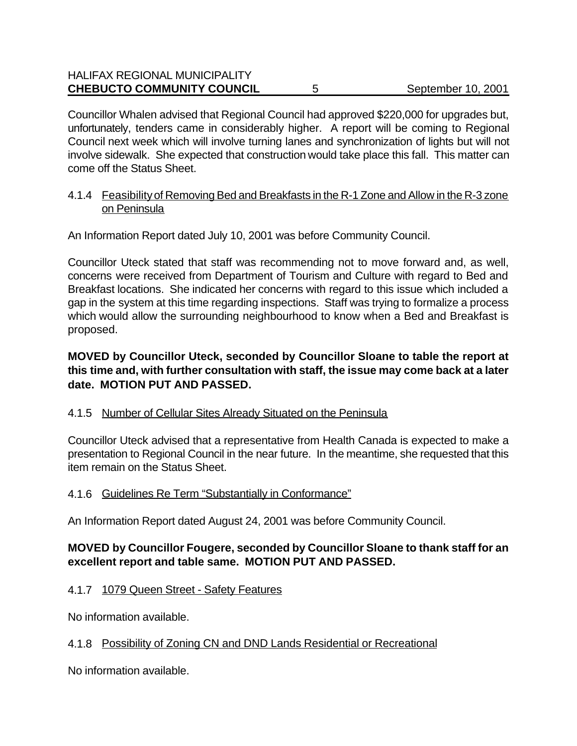#### HALIFAX REGIONAL MUNICIPALITY **CHEBUCTO COMMUNITY COUNCIL** 5 September 10, 2001

Councillor Whalen advised that Regional Council had approved \$220,000 for upgrades but, unfortunately, tenders came in considerably higher. A report will be coming to Regional Council next week which will involve turning lanes and synchronization of lights but will not involve sidewalk. She expected that construction would take place this fall. This matter can come off the Status Sheet.

#### 4.1.4 Feasibility of Removing Bed and Breakfasts in the R-1 Zone and Allow in the R-3 zone on Peninsula

An Information Report dated July 10, 2001 was before Community Council.

Councillor Uteck stated that staff was recommending not to move forward and, as well, concerns were received from Department of Tourism and Culture with regard to Bed and Breakfast locations. She indicated her concerns with regard to this issue which included a gap in the system at this time regarding inspections. Staff was trying to formalize a process which would allow the surrounding neighbourhood to know when a Bed and Breakfast is proposed.

#### **MOVED by Councillor Uteck, seconded by Councillor Sloane to table the report at this time and, with further consultation with staff, the issue may come back at a later date. MOTION PUT AND PASSED.**

#### 4.1.5 Number of Cellular Sites Already Situated on the Peninsula

Councillor Uteck advised that a representative from Health Canada is expected to make a presentation to Regional Council in the near future. In the meantime, she requested that this item remain on the Status Sheet.

#### 4.1.6 Guidelines Re Term "Substantially in Conformance"

An Information Report dated August 24, 2001 was before Community Council.

### **MOVED by Councillor Fougere, seconded by Councillor Sloane to thank staff for an excellent report and table same. MOTION PUT AND PASSED.**

#### 4.1.7 1079 Queen Street - Safety Features

No information available.

### 4.1.8 Possibility of Zoning CN and DND Lands Residential or Recreational

No information available.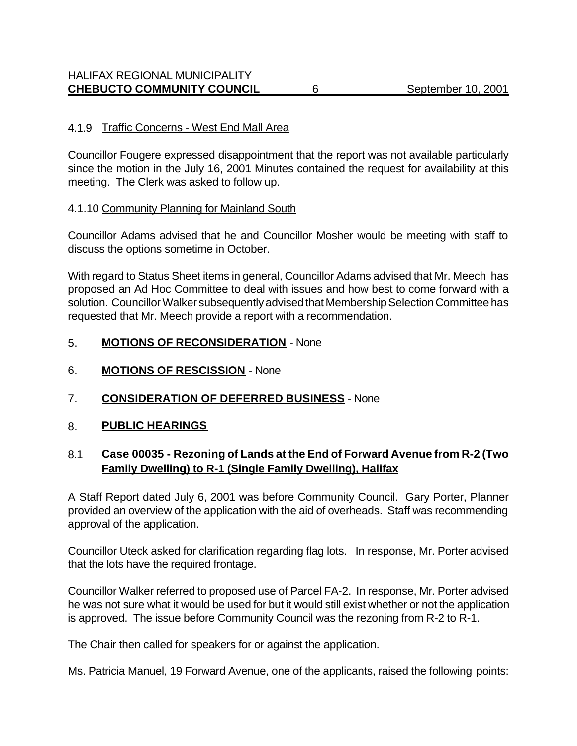#### 4.1.9 Traffic Concerns - West End Mall Area

Councillor Fougere expressed disappointment that the report was not available particularly since the motion in the July 16, 2001 Minutes contained the request for availability at this meeting. The Clerk was asked to follow up.

#### 4.1.10 Community Planning for Mainland South

Councillor Adams advised that he and Councillor Mosher would be meeting with staff to discuss the options sometime in October.

With regard to Status Sheet items in general, Councillor Adams advised that Mr. Meech has proposed an Ad Hoc Committee to deal with issues and how best to come forward with a solution. Councillor Walker subsequently advised that Membership Selection Committee has requested that Mr. Meech provide a report with a recommendation.

#### 5. **MOTIONS OF RECONSIDERATION** - None

- 6. **MOTIONS OF RESCISSION** None
- 7. **CONSIDERATION OF DEFERRED BUSINESS** None
- 8. **PUBLIC HEARINGS**

#### 8.1 **Case 00035 - Rezoning of Lands at the End of Forward Avenue from R-2 (Two Family Dwelling) to R-1 (Single Family Dwelling), Halifax**

A Staff Report dated July 6, 2001 was before Community Council. Gary Porter, Planner provided an overview of the application with the aid of overheads. Staff was recommending approval of the application.

Councillor Uteck asked for clarification regarding flag lots. In response, Mr. Porter advised that the lots have the required frontage.

Councillor Walker referred to proposed use of Parcel FA-2. In response, Mr. Porter advised he was not sure what it would be used for but it would still exist whether or not the application is approved. The issue before Community Council was the rezoning from R-2 to R-1.

The Chair then called for speakers for or against the application.

Ms. Patricia Manuel, 19 Forward Avenue, one of the applicants, raised the following points: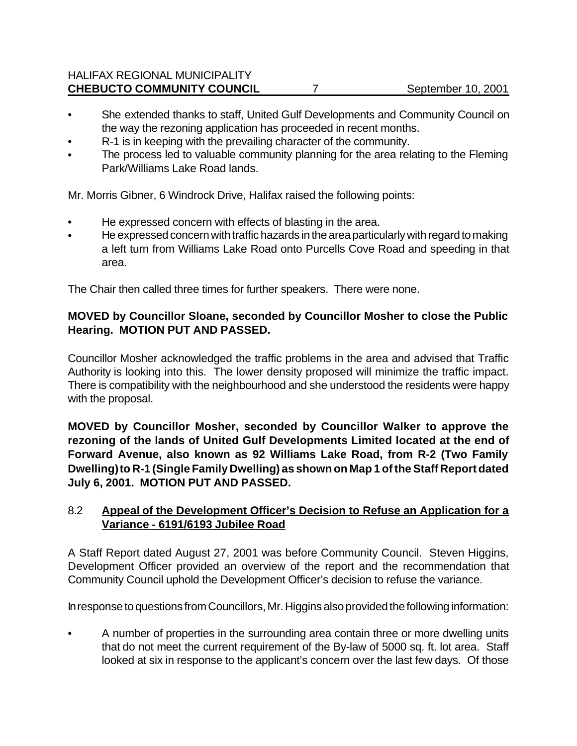### HALIFAX REGIONAL MUNICIPALITY **CHEBUCTO COMMUNITY COUNCIL** 7 September 10, 2001

- She extended thanks to staff, United Gulf Developments and Community Council on the way the rezoning application has proceeded in recent months.
- R-1 is in keeping with the prevailing character of the community.
- The process led to valuable community planning for the area relating to the Fleming Park/Williams Lake Road lands.

Mr. Morris Gibner, 6 Windrock Drive, Halifax raised the following points:

- He expressed concern with effects of blasting in the area.
- He expressed concern with traffic hazards in the area particularly with regard to making a left turn from Williams Lake Road onto Purcells Cove Road and speeding in that area.

The Chair then called three times for further speakers. There were none.

### **MOVED by Councillor Sloane, seconded by Councillor Mosher to close the Public Hearing. MOTION PUT AND PASSED.**

Councillor Mosher acknowledged the traffic problems in the area and advised that Traffic Authority is looking into this. The lower density proposed will minimize the traffic impact. There is compatibility with the neighbourhood and she understood the residents were happy with the proposal.

**MOVED by Councillor Mosher, seconded by Councillor Walker to approve the rezoning of the lands of United Gulf Developments Limited located at the end of Forward Avenue, also known as 92 Williams Lake Road, from R-2 (Two Family Dwelling) to R-1 (Single Family Dwelling) as shown on Map 1 of the Staff Report dated July 6, 2001. MOTION PUT AND PASSED.**

### 8.2 **Appeal of the Development Officer's Decision to Refuse an Application for a Variance - 6191/6193 Jubilee Road**

A Staff Report dated August 27, 2001 was before Community Council. Steven Higgins, Development Officer provided an overview of the report and the recommendation that Community Council uphold the Development Officer's decision to refuse the variance.

In response to questions from Councillors, Mr. Higgins also provided the following information:

• A number of properties in the surrounding area contain three or more dwelling units that do not meet the current requirement of the By-law of 5000 sq. ft. lot area. Staff looked at six in response to the applicant's concern over the last few days. Of those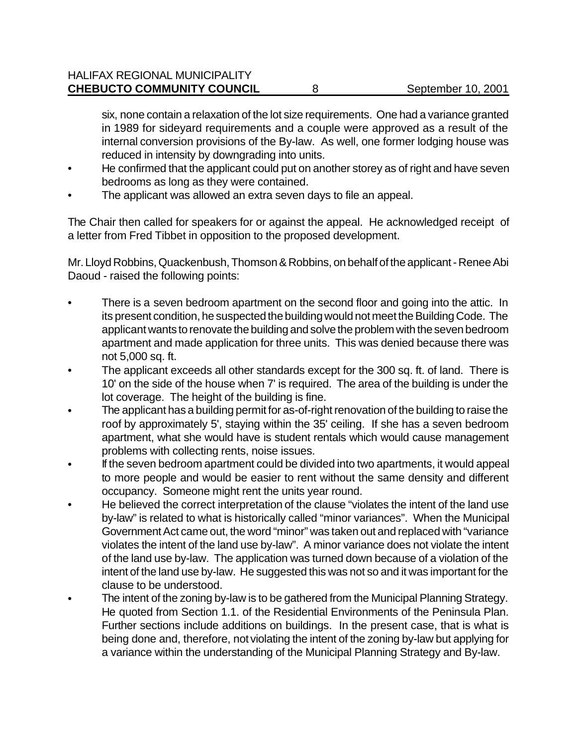six, none contain a relaxation of the lot size requirements. One had a variance granted in 1989 for sideyard requirements and a couple were approved as a result of the internal conversion provisions of the By-law. As well, one former lodging house was reduced in intensity by downgrading into units.

- He confirmed that the applicant could put on another storey as of right and have seven bedrooms as long as they were contained.
- The applicant was allowed an extra seven days to file an appeal.

The Chair then called for speakers for or against the appeal. He acknowledged receipt of a letter from Fred Tibbet in opposition to the proposed development.

Mr. Lloyd Robbins, Quackenbush, Thomson & Robbins, on behalf of the applicant - Renee Abi Daoud - raised the following points:

- There is a seven bedroom apartment on the second floor and going into the attic. In its present condition, he suspected the building would not meet the Building Code. The applicant wants to renovate the building and solve the problem with the seven bedroom apartment and made application for three units. This was denied because there was not 5,000 sq. ft.
- The applicant exceeds all other standards except for the 300 sq. ft. of land. There is 10' on the side of the house when 7' is required. The area of the building is under the lot coverage. The height of the building is fine.
- The applicant has a building permit for as-of-right renovation of the building to raise the roof by approximately 5', staying within the 35' ceiling. If she has a seven bedroom apartment, what she would have is student rentals which would cause management problems with collecting rents, noise issues.
- If the seven bedroom apartment could be divided into two apartments, it would appeal to more people and would be easier to rent without the same density and different occupancy. Someone might rent the units year round.
- He believed the correct interpretation of the clause "violates the intent of the land use by-law" is related to what is historically called "minor variances". When the Municipal Government Act came out, the word "minor" was taken out and replaced with "variance violates the intent of the land use by-law". A minor variance does not violate the intent of the land use by-law. The application was turned down because of a violation of the intent of the land use by-law. He suggested this was not so and it was important for the clause to be understood.
- The intent of the zoning by-law is to be gathered from the Municipal Planning Strategy. He quoted from Section 1.1. of the Residential Environments of the Peninsula Plan. Further sections include additions on buildings. In the present case, that is what is being done and, therefore, not violating the intent of the zoning by-law but applying for a variance within the understanding of the Municipal Planning Strategy and By-law.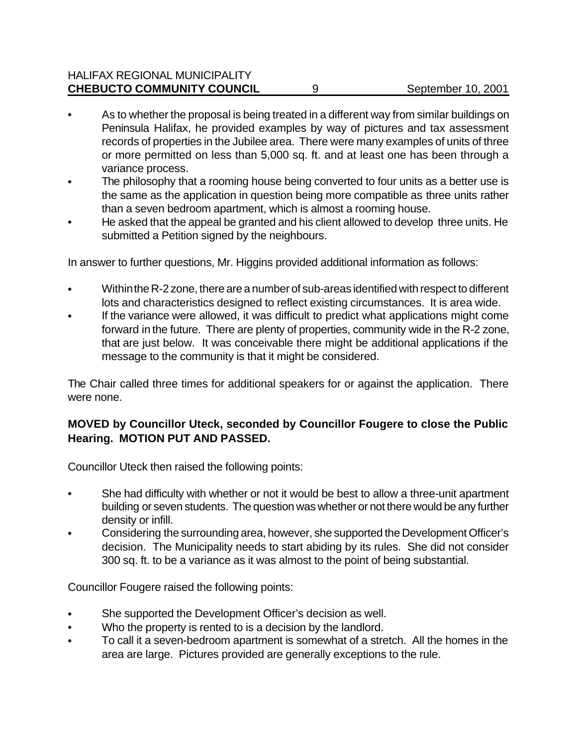### HALIFAX REGIONAL MUNICIPALITY **CHEBUCTO COMMUNITY COUNCIL** 9 9 September 10, 2001

- As to whether the proposal is being treated in a different way from similar buildings on Peninsula Halifax, he provided examples by way of pictures and tax assessment records of properties in the Jubilee area. There were many examples of units of three or more permitted on less than 5,000 sq. ft. and at least one has been through a variance process.
- The philosophy that a rooming house being converted to four units as a better use is the same as the application in question being more compatible as three units rather than a seven bedroom apartment, which is almost a rooming house.
- He asked that the appeal be granted and his client allowed to develop three units. He submitted a Petition signed by the neighbours.

In answer to further questions, Mr. Higgins provided additional information as follows:

- Within the R-2 zone, there are a number of sub-areas identified with respect to different lots and characteristics designed to reflect existing circumstances. It is area wide.
- If the variance were allowed, it was difficult to predict what applications might come forward in the future. There are plenty of properties, community wide in the R-2 zone, that are just below. It was conceivable there might be additional applications if the message to the community is that it might be considered.

The Chair called three times for additional speakers for or against the application. There were none.

### **MOVED by Councillor Uteck, seconded by Councillor Fougere to close the Public Hearing. MOTION PUT AND PASSED.**

Councillor Uteck then raised the following points:

- She had difficulty with whether or not it would be best to allow a three-unit apartment building or seven students. The question was whether or not there would be any further density or infill.
- Considering the surrounding area, however, she supported the Development Officer's decision. The Municipality needs to start abiding by its rules. She did not consider 300 sq. ft. to be a variance as it was almost to the point of being substantial.

Councillor Fougere raised the following points:

- She supported the Development Officer's decision as well.
- Who the property is rented to is a decision by the landlord.
- To call it a seven-bedroom apartment is somewhat of a stretch. All the homes in the area are large. Pictures provided are generally exceptions to the rule.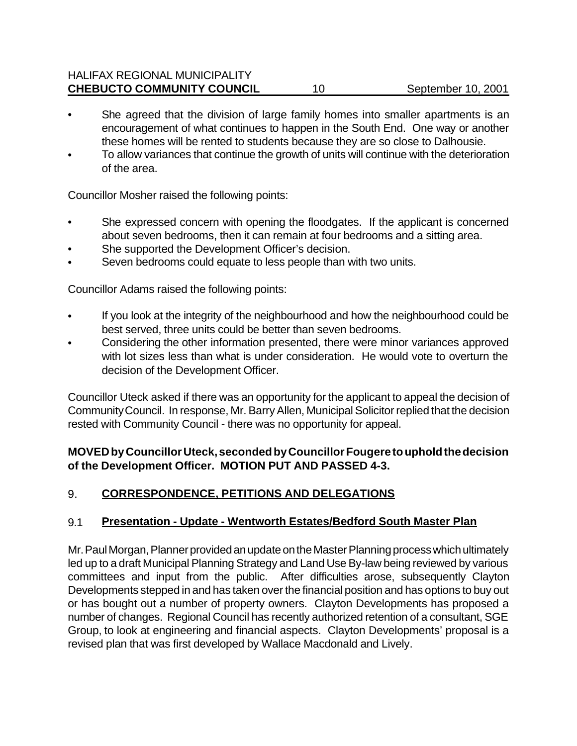#### HALIFAX REGIONAL MUNICIPALITY **CHEBUCTO COMMUNITY COUNCIL** 10 September 10, 2001

- She agreed that the division of large family homes into smaller apartments is an encouragement of what continues to happen in the South End. One way or another these homes will be rented to students because they are so close to Dalhousie.
- To allow variances that continue the growth of units will continue with the deterioration of the area.

Councillor Mosher raised the following points:

- She expressed concern with opening the floodgates. If the applicant is concerned about seven bedrooms, then it can remain at four bedrooms and a sitting area.
- She supported the Development Officer's decision.
- Seven bedrooms could equate to less people than with two units.

Councillor Adams raised the following points:

- If you look at the integrity of the neighbourhood and how the neighbourhood could be best served, three units could be better than seven bedrooms.
- Considering the other information presented, there were minor variances approved with lot sizes less than what is under consideration. He would vote to overturn the decision of the Development Officer.

Councillor Uteck asked if there was an opportunity for the applicant to appeal the decision of Community Council. In response, Mr. Barry Allen, Municipal Solicitor replied that the decision rested with Community Council - there was no opportunity for appeal.

#### **MOVED by Councillor Uteck, seconded by Councillor Fougere to uphold the decision of the Development Officer. MOTION PUT AND PASSED 4-3.**

### 9. **CORRESPONDENCE, PETITIONS AND DELEGATIONS**

#### 9.1 **Presentation - Update - Wentworth Estates/Bedford South Master Plan**

Mr. Paul Morgan, Planner provided an update on the Master Planning process which ultimately led up to a draft Municipal Planning Strategy and Land Use By-law being reviewed by various committees and input from the public. After difficulties arose, subsequently Clayton Developments stepped in and has taken over the financial position and has options to buy out or has bought out a number of property owners. Clayton Developments has proposed a number of changes. Regional Council has recently authorized retention of a consultant, SGE Group, to look at engineering and financial aspects. Clayton Developments' proposal is a revised plan that was first developed by Wallace Macdonald and Lively.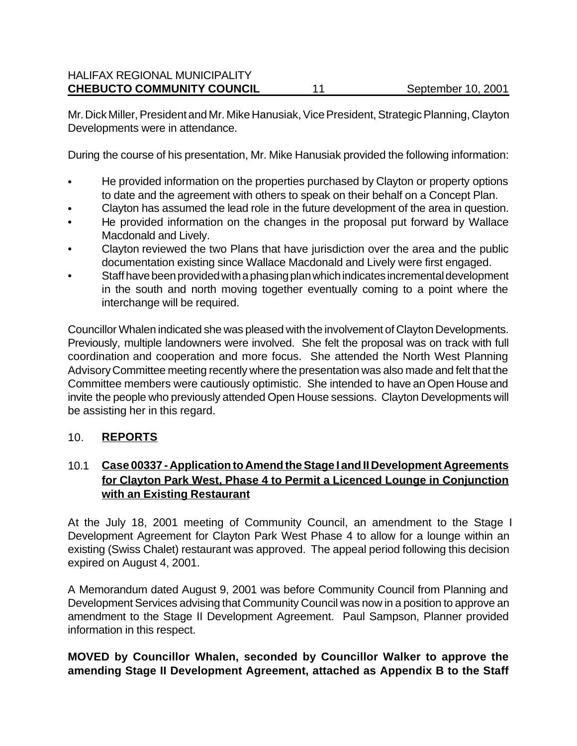Mr. Dick Miller, President and Mr. Mike Hanusiak, Vice President, Strategic Planning, Clayton Developments were in attendance.

During the course of his presentation, Mr. Mike Hanusiak provided the following information:

- He provided information on the properties purchased by Clayton or property options to date and the agreement with others to speak on their behalf on a Concept Plan.
- Clayton has assumed the lead role in the future development of the area in question.
- He provided information on the changes in the proposal put forward by Wallace Macdonald and Lively.
- Clayton reviewed the two Plans that have jurisdiction over the area and the public documentation existing since Wallace Macdonald and Lively were first engaged.
- Staff have been provided with a phasing plan which indicates incremental development in the south and north moving together eventually coming to a point where the interchange will be required.

Councillor Whalen indicated she was pleased with the involvement of Clayton Developments. Previously, multiple landowners were involved. She felt the proposal was on track with full coordination and cooperation and more focus. She attended the North West Planning Advisory Committee meeting recently where the presentation was also made and felt that the Committee members were cautiously optimistic. She intended to have an Open House and invite the people who previously attended Open House sessions. Clayton Developments will be assisting her in this regard.

### 10. **REPORTS**

## 10.1 **Case 00337 - Application to Amend the Stage I and II Development Agreements for Clayton Park West, Phase 4 to Permit a Licenced Lounge in Conjunction with an Existing Restaurant**

At the July 18, 2001 meeting of Community Council, an amendment to the Stage I Development Agreement for Clayton Park West Phase 4 to allow for a lounge within an existing (Swiss Chalet) restaurant was approved. The appeal period following this decision expired on August 4, 2001.

A Memorandum dated August 9, 2001 was before Community Council from Planning and Development Services advising that Community Council was now in a position to approve an amendment to the Stage II Development Agreement. Paul Sampson, Planner provided information in this respect.

### **MOVED by Councillor Whalen, seconded by Councillor Walker to approve the amending Stage II Development Agreement, attached as Appendix B to the Staff**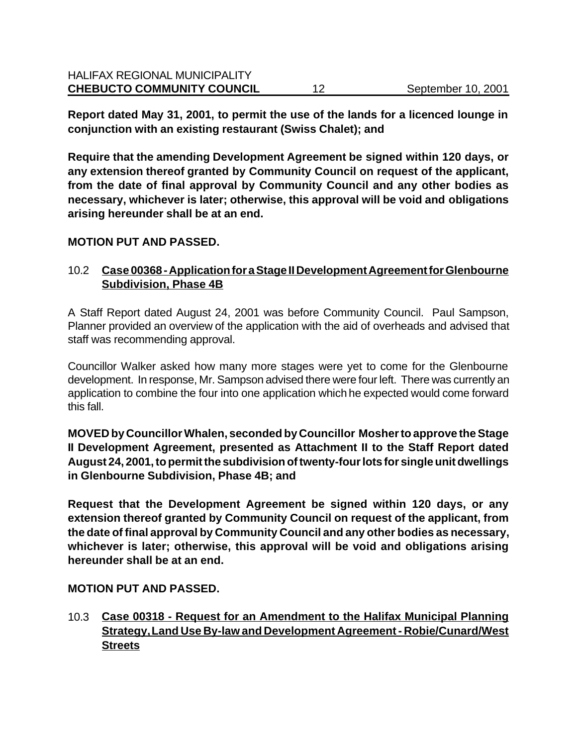**Report dated May 31, 2001, to permit the use of the lands for a licenced lounge in conjunction with an existing restaurant (Swiss Chalet); and**

**Require that the amending Development Agreement be signed within 120 days, or any extension thereof granted by Community Council on request of the applicant, from the date of final approval by Community Council and any other bodies as necessary, whichever is later; otherwise, this approval will be void and obligations arising hereunder shall be at an end.**

#### **MOTION PUT AND PASSED.**

### 10.2 **Case 00368 - Application for a Stage II Development Agreement for Glenbourne Subdivision, Phase 4B**

A Staff Report dated August 24, 2001 was before Community Council. Paul Sampson, Planner provided an overview of the application with the aid of overheads and advised that staff was recommending approval.

Councillor Walker asked how many more stages were yet to come for the Glenbourne development. In response, Mr. Sampson advised there were four left. There was currently an application to combine the four into one application which he expected would come forward this fall.

**MOVED by Councillor Whalen, seconded by Councillor Mosher to approve the Stage II Development Agreement, presented as Attachment II to the Staff Report dated August 24, 2001, to permit the subdivision of twenty-four lots for single unit dwellings in Glenbourne Subdivision, Phase 4B; and**

**Request that the Development Agreement be signed within 120 days, or any extension thereof granted by Community Council on request of the applicant, from the date of final approval by Community Council and any other bodies as necessary, whichever is later; otherwise, this approval will be void and obligations arising hereunder shall be at an end.**

#### **MOTION PUT AND PASSED.**

10.3 **Case 00318 - Request for an Amendment to the Halifax Municipal Planning Strategy, Land Use By-law and Development Agreement - Robie/Cunard/West Streets**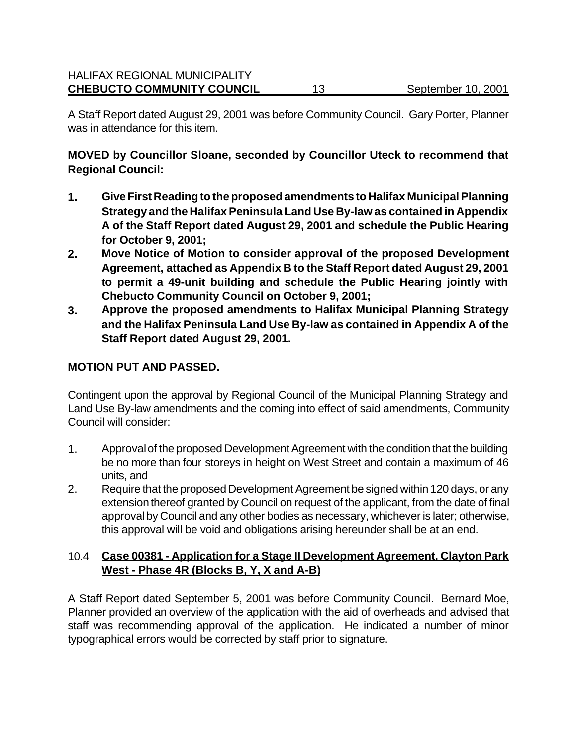A Staff Report dated August 29, 2001 was before Community Council. Gary Porter, Planner was in attendance for this item.

**MOVED by Councillor Sloane, seconded by Councillor Uteck to recommend that Regional Council:**

- **1. Give First Reading to the proposed amendments to Halifax Municipal Planning Strategy and the Halifax Peninsula Land Use By-law as contained in Appendix A of the Staff Report dated August 29, 2001 and schedule the Public Hearing for October 9, 2001;**
- **2. Move Notice of Motion to consider approval of the proposed Development Agreement, attached as Appendix B to the Staff Report dated August 29, 2001 to permit a 49-unit building and schedule the Public Hearing jointly with Chebucto Community Council on October 9, 2001;**
- **3. Approve the proposed amendments to Halifax Municipal Planning Strategy and the Halifax Peninsula Land Use By-law as contained in Appendix A of the Staff Report dated August 29, 2001.**

### **MOTION PUT AND PASSED.**

Contingent upon the approval by Regional Council of the Municipal Planning Strategy and Land Use By-law amendments and the coming into effect of said amendments, Community Council will consider:

- 1. Approval of the proposed Development Agreement with the condition that the building be no more than four storeys in height on West Street and contain a maximum of 46 units, and
- 2. Require that the proposed Development Agreement be signed within 120 days, or any extension thereof granted by Council on request of the applicant, from the date of final approval by Council and any other bodies as necessary, whichever is later; otherwise, this approval will be void and obligations arising hereunder shall be at an end.

### 10.4 **Case 00381 - Application for a Stage II Development Agreement, Clayton Park West - Phase 4R (Blocks B, Y, X and A-B)**

A Staff Report dated September 5, 2001 was before Community Council. Bernard Moe, Planner provided an overview of the application with the aid of overheads and advised that staff was recommending approval of the application. He indicated a number of minor typographical errors would be corrected by staff prior to signature.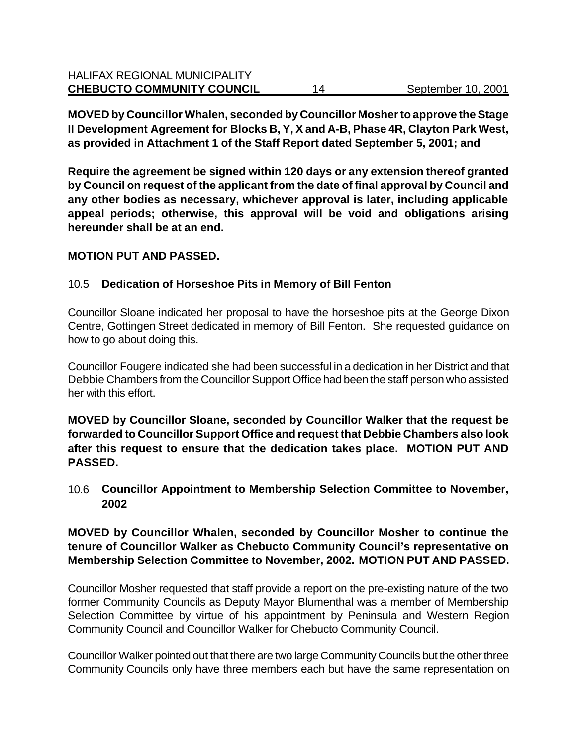**MOVED by Councillor Whalen, seconded by Councillor Mosher to approve the Stage II Development Agreement for Blocks B, Y, X and A-B, Phase 4R, Clayton Park West, as provided in Attachment 1 of the Staff Report dated September 5, 2001; and**

**Require the agreement be signed within 120 days or any extension thereof granted by Council on request of the applicant from the date of final approval by Council and any other bodies as necessary, whichever approval is later, including applicable appeal periods; otherwise, this approval will be void and obligations arising hereunder shall be at an end.**

#### **MOTION PUT AND PASSED.**

#### 10.5 **Dedication of Horseshoe Pits in Memory of Bill Fenton**

Councillor Sloane indicated her proposal to have the horseshoe pits at the George Dixon Centre, Gottingen Street dedicated in memory of Bill Fenton. She requested guidance on how to go about doing this.

Councillor Fougere indicated she had been successful in a dedication in her District and that Debbie Chambers from the Councillor Support Office had been the staff person who assisted her with this effort.

**MOVED by Councillor Sloane, seconded by Councillor Walker that the request be forwarded to Councillor Support Office and request that Debbie Chambers also look after this request to ensure that the dedication takes place. MOTION PUT AND PASSED.**

10.6 **Councillor Appointment to Membership Selection Committee to November, 2002**

**MOVED by Councillor Whalen, seconded by Councillor Mosher to continue the tenure of Councillor Walker as Chebucto Community Council's representative on Membership Selection Committee to November, 2002. MOTION PUT AND PASSED.**

Councillor Mosher requested that staff provide a report on the pre-existing nature of the two former Community Councils as Deputy Mayor Blumenthal was a member of Membership Selection Committee by virtue of his appointment by Peninsula and Western Region Community Council and Councillor Walker for Chebucto Community Council.

Councillor Walker pointed out that there are two large Community Councils but the other three Community Councils only have three members each but have the same representation on